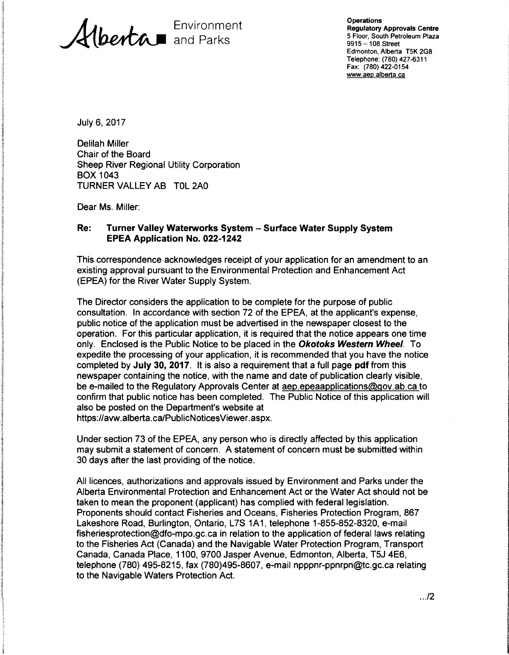Environment and Parks

**Operations** Regulatory Approvals Centre 5 Floor, South Petroleum Plaza 9915-108 Street Edmonton, Alberta T5K 2G8 Telephone: (780) 427-6311 Fax: (780) 422-0154 www.aep.alberta.ca

July 6, 2017

Delilah Miller Chair of the Board Sheep River Regional Utility Corporation BOX 1043 TURNER VALLEY AB TOL 2AO

Dear Ms. Miller:

#### **Re: Turner Valley Waterworks System - Surface Water Supply System EPEA Application No. 022-1242**

This correspondence acknowledges receipt of your application for an amendment to an existing approval pursuant to the Environmental Protection and Enhancement Act (EPEA) for the River Water Supply System.

The Director considers the application to be complete for the purpose of public consultation. In accordance with section 72 of the EPEA, at the applicant's expense, public notice of the application must be advertised in the newspaper closest to the operation. For this particular application, it is required that the notice appears one time only. Enclosed is the Public Notice to be placed in the **Okotoks Western Wheel.** To expedite the processing of your application, it is recommended that you have the notice completed by **July 30, 2017.** It is also a requirement that a full page **pdf** from this newspaper containing the notice, with the name and date of publication clearly visible, be e-mailed to the Regulatory Approvals Center at aep.epeaapplications@gov.ab.ca to confirm that public notice has been completed. The Public Notice of this application will also be posted on the Department's website at https://avw.alberta.ca/PublicNoticesViewer.aspx.

Under section 73 of the EPEA, any person who is directly affected by this application may submit a statement of concern. A statement of concern must be submitted within 30 days after the last providing of the notice.

All licences, authorizations and approvals issued by Environment and Parks under the Alberta Environmental Protection and Enhancement Act or the Water Act should not be taken to mean the proponent (applicant) has complied with federal legislation. Proponents should contact Fisheries and Oceans, Fisheries Protection Program, 867 Lakeshore Road, Burlington, Ontario, L7S 1A1, telephone 1-855-852-8320, e-mail fisheriesprotection@dfo-mpo.gc.ca in relation to the application of federal laws relating to the Fisheries Act (Canada) and the Navigable Water Protection Program, Transport Canada, Canada Place, 1100, 9700 Jasper Avenue, Edmonton, Alberta, T5J 4E6, telephone (780) 495-8215, fax (780)495-8607, e-mail npppnr-ppnrpn@tc.gc.ca relating to the Navigable Waters Protection Act.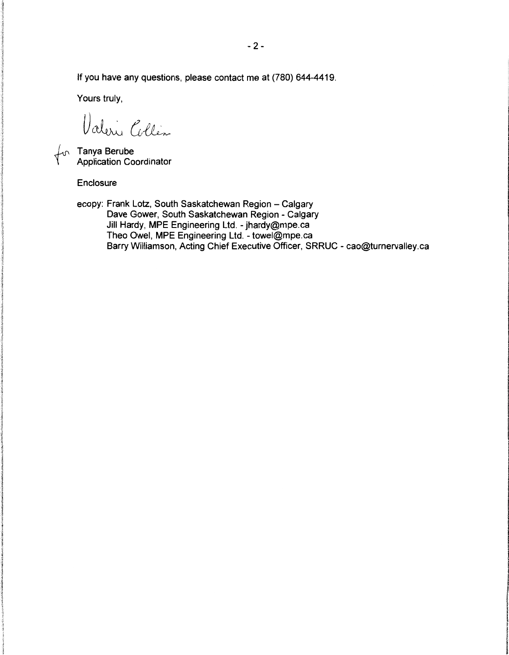If you have any questions, please contact me at (780) 644-4419.

Yours truly,

Valerie Collin

Tanya Berube Application Coordinator

Enclosure

ecopy: Frank Lotz, South Saskatchewan Region - Calgary Dave Gower, South Saskatchewan Region - Calgary Jill Hardy, **MPE** Engineering Ltd. - jhardy@mpe.ca Theo Owel, **MPE** Engineering Ltd. - towel@mpe.ca Barry Williamson, Acting Chief Executive Officer, SRRUC - cao@turnervalley.ca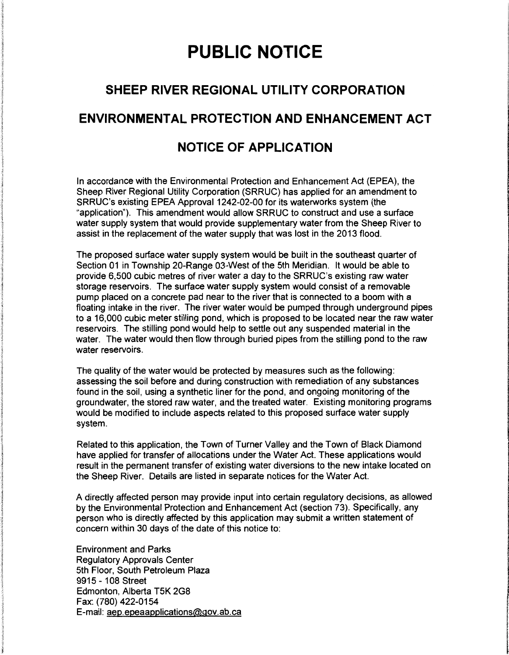# **PUBLIC NOTICE**

## **SHEEP RIVER REGIONAL UTILITY CORPORATION**

#### **ENVIRONMENTAL PROTECTION AND ENHANCEMENT ACT**

## **NOTICE OF APPLICATION**

In accordance with the Environmental Protection and Enhancement Act (EPEA), the Sheep River Regional Utility Corporation (SRRUC) has applied for an amendment to SRRUC's existing EPEA Approval 1242-02-00 for its waterworks system (the "application"). This amendment would allow SRRUC to construct and use a surface water supply system that would provide supplementary water from the Sheep River to assist in the replacement of the water supply that was lost in the 2013 flood.

The proposed surface water supply system would be built in the southeast quarter of Section 01 in Township 20-Range 03-West of the 5th Meridian. It would be able to provide 6,500 cubic metres of river water a day to the SRRUC's existing raw water storage reservoirs. The surface water supply system would consist of a removable pump placed on a concrete pad near to the river that is connected to a boom with a floating intake in the river. The river water would be pumped through underground pipes to a 16,000 cubic meter stilling pond, which is proposed to be located near the raw water reservoirs. The stilling pond would help to settle out any suspended material in the water. The water would then flow through buried pipes from the stilling pond to the raw water reservoirs.

The quality of the water would be protected by measures such as the following: assessing the soil before and during construction with remediation of any substances found in the soil, using a synthetic liner for the pond, and ongoing monitoring of the groundwater, the stored raw water, and the treated water. Existing monitoring programs would be modified to include aspects related to this proposed surface water supply system.

Related to this application, the Town of Turner Valley and the Town of Black Diamond have applied for transfer of allocations under the Water Act. These applications would result in the permanent transfer of existing water diversions to the new intake located on the Sheep River. Details are listed in separate notices for the Water Act.

A directly affected person may provide input into certain regulatory decisions, as allowed by the Environmental Protection and Enhancement Act (section 73). Specifically, any person who is directly affected by this application may submit a written statement of concern within 30 days of the date of this notice to:

Environment and Parks Regulatory Approvals Center 5th Floor, South Petroleum Plaza 9915 - 108 Street Edmonton, Alberta T5K 2G8 Fax: (780) 422-0154 E-mail: aep.epeaapplications@gov.ab.ca